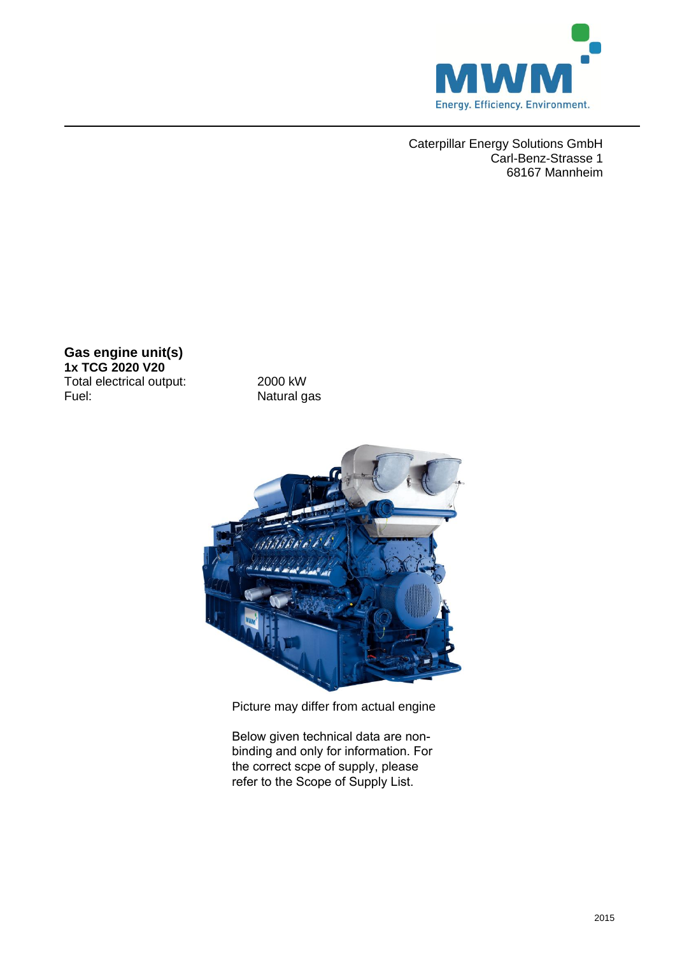

Caterpillar Energy Solutions GmbH Carl-Benz-Strasse 1 68167 Mannheim

**Gas engine unit(s) 1x TCG 2020 V20**  Total electrical output: 2000 kW<br>Fuel: Natural g

Natural gas



Picture may differ from actual engine

Below given technical data are nonbinding and only for information. For the correct scpe of supply, please refer to the Scope of Supply List.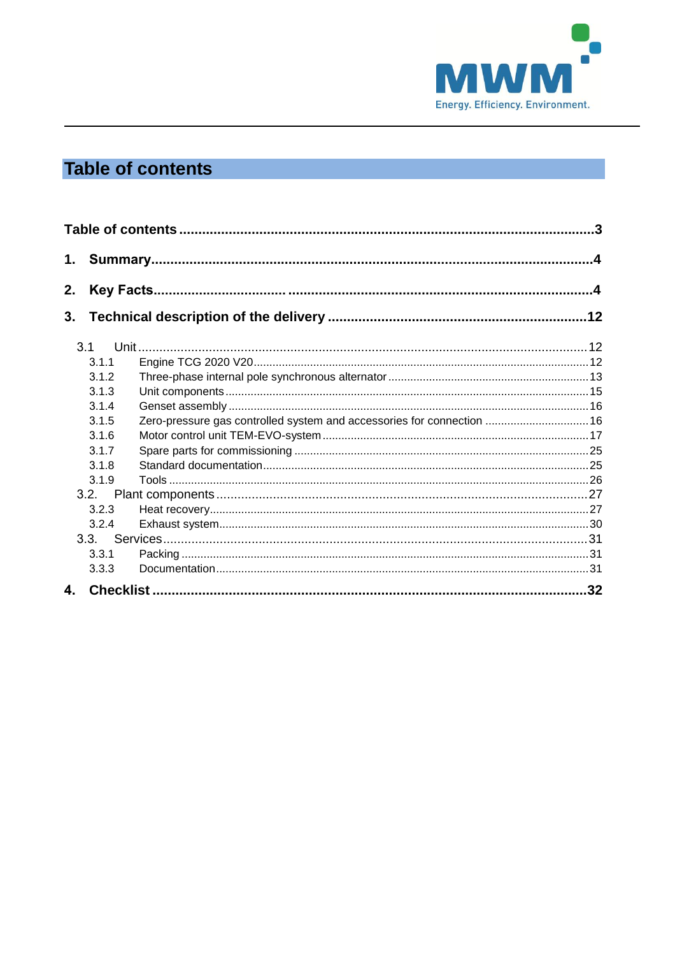

# <span id="page-1-0"></span>**Table of contents**

| 1. |       |                                                                        |  |
|----|-------|------------------------------------------------------------------------|--|
| 2. |       |                                                                        |  |
| 3. |       |                                                                        |  |
|    |       |                                                                        |  |
|    | 3.1.1 |                                                                        |  |
|    | 3.1.2 |                                                                        |  |
|    | 3.1.3 |                                                                        |  |
|    | 3.1.4 |                                                                        |  |
|    | 3.1.5 | Zero-pressure gas controlled system and accessories for connection  16 |  |
|    | 3.1.6 |                                                                        |  |
|    | 3.1.7 |                                                                        |  |
|    | 3.1.8 |                                                                        |  |
|    | 3.1.9 |                                                                        |  |
|    | 3.2.  |                                                                        |  |
|    | 3.2.3 |                                                                        |  |
|    | 3.2.4 |                                                                        |  |
|    | 3.3.  |                                                                        |  |
|    | 3.3.1 |                                                                        |  |
|    | 3.3.3 |                                                                        |  |
| 4. |       |                                                                        |  |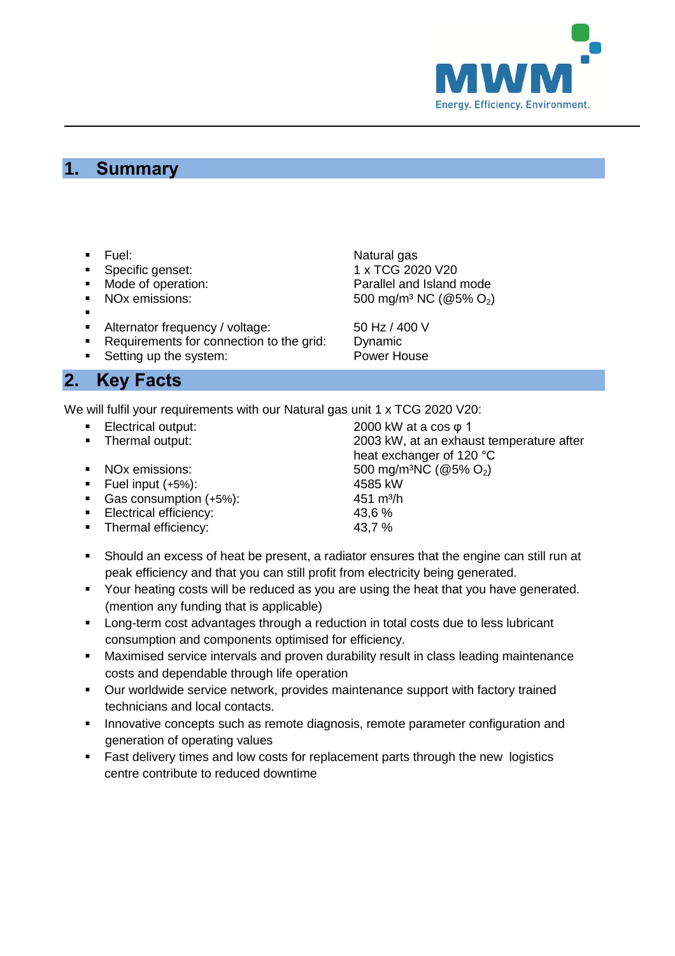

## <span id="page-2-0"></span>**1. Summary**

- 
- 
- 
- 
- .
- 
- Alternator frequency / voltage: 50 Hz / 400 V<br>• Requirements for connection to the grid: Dynamic Requirements for connection to the grid: Dynamic<br>Setting up the system: Power House
- Setting up the system:

## <span id="page-2-1"></span>**2. Key Facts**

We will fulfil your requirements with our Natural gas unit 1 x TCG 2020 V20:

- 
- 
- 
- Fuel input  $(+5%)$ :
- Gas consumption (+5%): 451 m<sup>3</sup>/h
- 
- Electrical efficiency: 43,6 %<br>■ Thermal efficiency: 43,7 % • Thermal efficiency:

Fuel: Natural gas Specific genset: 1 x TCG 2020 V20 • Mode of operation: Parallel and Island mode NOx emissions:  $500 \text{ mg/m}^3 \text{ NC}$  (@5% O<sub>2</sub>)

■ Electrical output: 2000 kW at a cos φ 1<br>■ Thermal output: 2003 kW, at an exhau 2003 kW, at an exhaust temperature after heat exchanger of 120 °C NOx emissions:  $SO0 \text{ mg/m}^3\text{NC}$  (@5% O<sub>2</sub>)<br>Fuel input (+5%):  $4585 \text{ kW}$ 

- Should an excess of heat be present, a radiator ensures that the engine can still run at peak efficiency and that you can still profit from electricity being generated.
- **Your heating costs will be reduced as you are using the heat that you have generated.** (mention any funding that is applicable)
- **EXECT** Long-term cost advantages through a reduction in total costs due to less lubricant consumption and components optimised for efficiency.
- Maximised service intervals and proven durability result in class leading maintenance costs and dependable through life operation
- Our worldwide service network, provides maintenance support with factory trained technicians and local contacts.
- Innovative concepts such as remote diagnosis, remote parameter configuration and generation of operating values
- **Fast delivery times and low costs for replacement parts through the new logistics** centre contribute to reduced downtime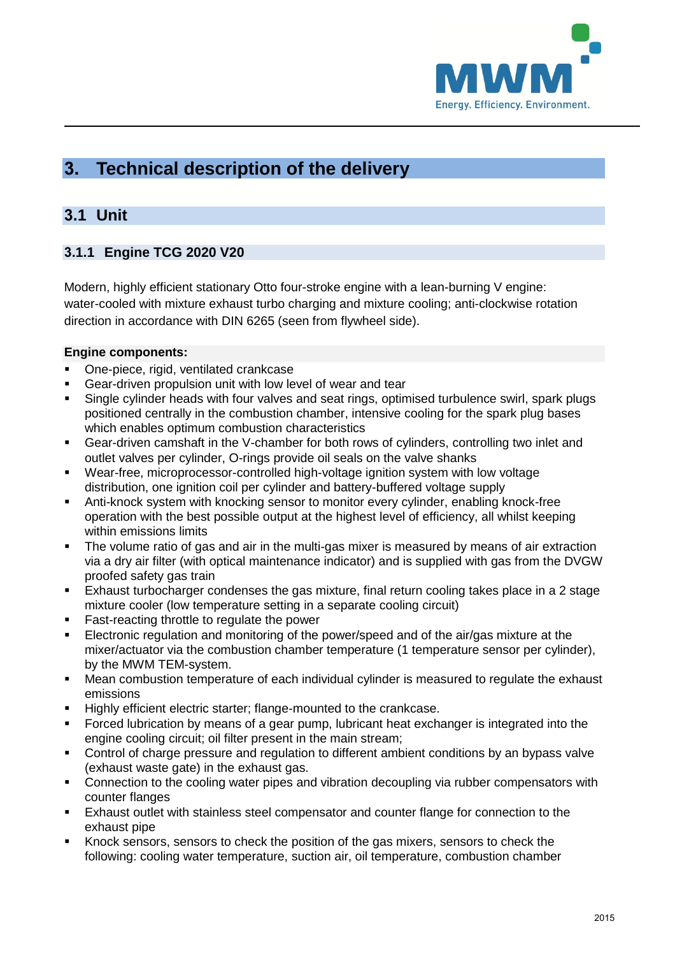

# <span id="page-3-0"></span>**3. Technical description of the delivery**

## <span id="page-3-1"></span>**3.1 Unit**

## <span id="page-3-2"></span>**3.1.1 Engine TCG 2020 V20**

Modern, highly efficient stationary Otto four-stroke engine with a lean-burning V engine: water-cooled with mixture exhaust turbo charging and mixture cooling; anti-clockwise rotation direction in accordance with DIN 6265 (seen from flywheel side).

## **Engine components:**

- One-piece, rigid, ventilated crankcase
- Gear-driven propulsion unit with low level of wear and tear
- Single cylinder heads with four valves and seat rings, optimised turbulence swirl, spark plugs positioned centrally in the combustion chamber, intensive cooling for the spark plug bases which enables optimum combustion characteristics
- Gear-driven camshaft in the V-chamber for both rows of cylinders, controlling two inlet and outlet valves per cylinder, O-rings provide oil seals on the valve shanks
- Wear-free, microprocessor-controlled high-voltage ignition system with low voltage distribution, one ignition coil per cylinder and battery-buffered voltage supply
- Anti-knock system with knocking sensor to monitor every cylinder, enabling knock-free operation with the best possible output at the highest level of efficiency, all whilst keeping within emissions limits
- The volume ratio of gas and air in the multi-gas mixer is measured by means of air extraction via a dry air filter (with optical maintenance indicator) and is supplied with gas from the DVGW proofed safety gas train
- Exhaust turbocharger condenses the gas mixture, final return cooling takes place in a 2 stage mixture cooler (low temperature setting in a separate cooling circuit)
- **Fast-reacting throttle to regulate the power**
- Electronic regulation and monitoring of the power/speed and of the air/gas mixture at the mixer/actuator via the combustion chamber temperature (1 temperature sensor per cylinder), by the MWM TEM-system.
- Mean combustion temperature of each individual cylinder is measured to regulate the exhaust emissions
- Highly efficient electric starter; flange-mounted to the crankcase.
- Forced lubrication by means of a gear pump, lubricant heat exchanger is integrated into the engine cooling circuit; oil filter present in the main stream;
- Control of charge pressure and regulation to different ambient conditions by an bypass valve (exhaust waste gate) in the exhaust gas.
- **•** Connection to the cooling water pipes and vibration decoupling via rubber compensators with counter flanges
- Exhaust outlet with stainless steel compensator and counter flange for connection to the exhaust pipe
- Knock sensors, sensors to check the position of the gas mixers, sensors to check the following: cooling water temperature, suction air, oil temperature, combustion chamber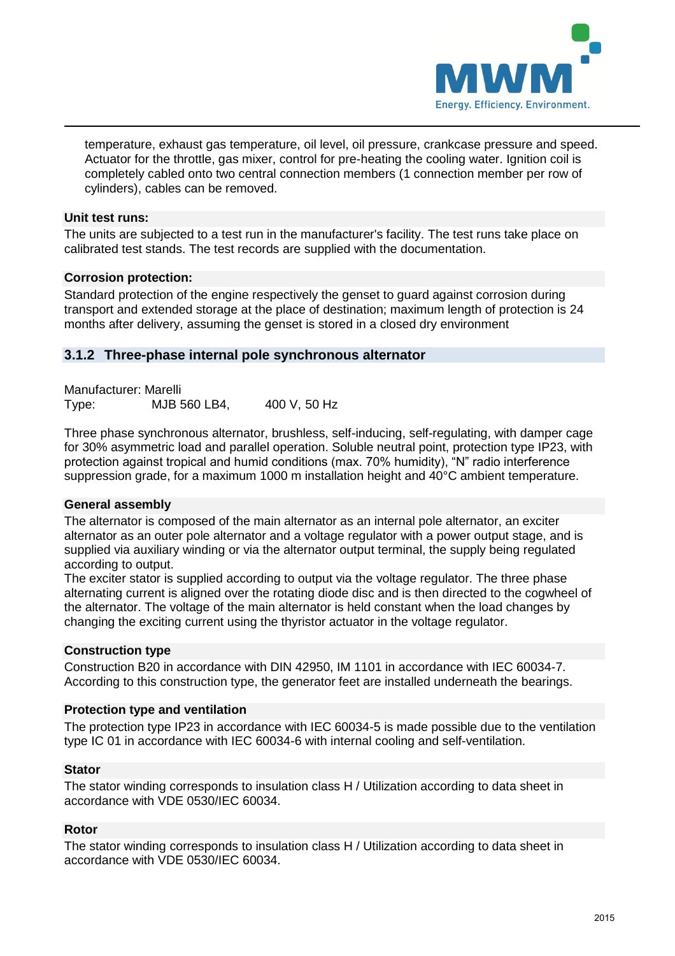

temperature, exhaust gas temperature, oil level, oil pressure, crankcase pressure and speed. Actuator for the throttle, gas mixer, control for pre-heating the cooling water. Ignition coil is completely cabled onto two central connection members (1 connection member per row of cylinders), cables can be removed.

## **Unit test runs:**

The units are subjected to a test run in the manufacturer's facility. The test runs take place on calibrated test stands. The test records are supplied with the documentation.

#### **Corrosion protection:**

Standard protection of the engine respectively the genset to guard against corrosion during transport and extended storage at the place of destination; maximum length of protection is 24 months after delivery, assuming the genset is stored in a closed dry environment

## <span id="page-4-0"></span>**3.1.2 Three-phase internal pole synchronous alternator**

Manufacturer: Marelli Type: MJB 560 LB4, 400 V, 50 Hz

Three phase synchronous alternator, brushless, self-inducing, self-regulating, with damper cage for 30% asymmetric load and parallel operation. Soluble neutral point, protection type IP23, with protection against tropical and humid conditions (max. 70% humidity), "N" radio interference suppression grade, for a maximum 1000 m installation height and 40°C ambient temperature.

## **General assembly**

The alternator is composed of the main alternator as an internal pole alternator, an exciter alternator as an outer pole alternator and a voltage regulator with a power output stage, and is supplied via auxiliary winding or via the alternator output terminal, the supply being regulated according to output.

The exciter stator is supplied according to output via the voltage regulator. The three phase alternating current is aligned over the rotating diode disc and is then directed to the cogwheel of the alternator. The voltage of the main alternator is held constant when the load changes by changing the exciting current using the thyristor actuator in the voltage regulator.

#### **Construction type**

Construction B20 in accordance with DIN 42950, IM 1101 in accordance with IEC 60034-7. According to this construction type, the generator feet are installed underneath the bearings.

## **Protection type and ventilation**

The protection type IP23 in accordance with IEC 60034-5 is made possible due to the ventilation type IC 01 in accordance with IEC 60034-6 with internal cooling and self-ventilation.

#### **Stator**

The stator winding corresponds to insulation class H / Utilization according to data sheet in accordance with VDE 0530/IEC 60034.

#### **Rotor**

The stator winding corresponds to insulation class H / Utilization according to data sheet in accordance with VDE 0530/IEC 60034.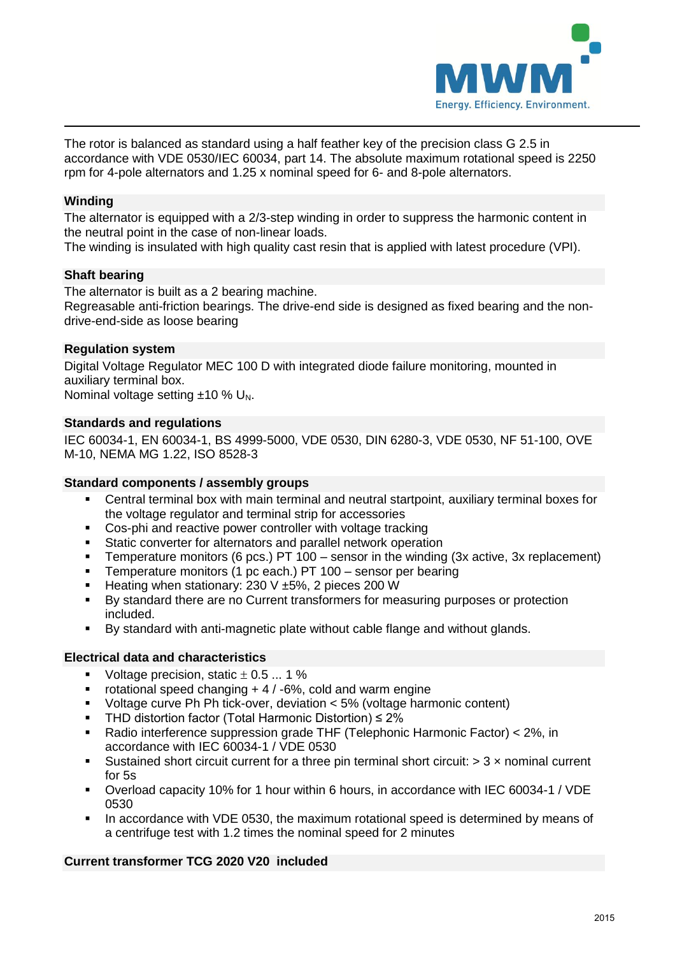

The rotor is balanced as standard using a half feather key of the precision class G 2.5 in accordance with VDE 0530/IEC 60034, part 14. The absolute maximum rotational speed is 2250 rpm for 4-pole alternators and 1.25 x nominal speed for 6- and 8-pole alternators.

#### **Winding**

The alternator is equipped with a 2/3-step winding in order to suppress the harmonic content in the neutral point in the case of non-linear loads.

The winding is insulated with high quality cast resin that is applied with latest procedure (VPI).

#### **Shaft bearing**

The alternator is built as a 2 bearing machine.

Regreasable anti-friction bearings. The drive-end side is designed as fixed bearing and the nondrive-end-side as loose bearing

#### **Regulation system**

Digital Voltage Regulator MEC 100 D with integrated diode failure monitoring, mounted in auxiliary terminal box. Nominal voltage setting  $±10$  % U<sub>N</sub>.

#### **Standards and regulations**

IEC 60034-1, EN 60034-1, BS 4999-5000, VDE 0530, DIN 6280-3, VDE 0530, NF 51-100, OVE M-10, NEMA MG 1.22, ISO 8528-3

#### **Standard components / assembly groups**

- Central terminal box with main terminal and neutral startpoint, auxiliary terminal boxes for the voltage regulator and terminal strip for accessories
- Cos-phi and reactive power controller with voltage tracking<br>Static converter for alternators and parallel petwork operation
- Static converter for alternators and parallel network operation
- **Temperature monitors (6 pcs.) PT 100 sensor in the winding (3x active, 3x replacement)**
- **Temperature monitors (1 pc each.) PT 100 sensor per bearing**
- Heating when stationary: 230 V  $\pm$ 5%, 2 pieces 200 W
- By standard there are no Current transformers for measuring purposes or protection included.
- By standard with anti-magnetic plate without cable flange and without glands.

#### **Electrical data and characteristics**

- Voltage precision, static  $\pm$  0.5  $\ldots$  1 %
- rotational speed changing  $+4/5%$ , cold and warm engine
- Voltage curve Ph Ph tick-over, deviation < 5% (voltage harmonic content)
- THD distortion factor (Total Harmonic Distortion) ≤ 2%
- Radio interference suppression grade THF (Telephonic Harmonic Factor) < 2%, in accordance with IEC 60034-1 / VDE 0530
- Sustained short circuit current for a three pin terminal short circuit:  $> 3 \times$  nominal current for 5s
- Overload capacity 10% for 1 hour within 6 hours, in accordance with IEC 60034-1 / VDE 0530
- In accordance with VDE 0530, the maximum rotational speed is determined by means of a centrifuge test with 1.2 times the nominal speed for 2 minutes

#### **Current transformer TCG 2020 V20 included**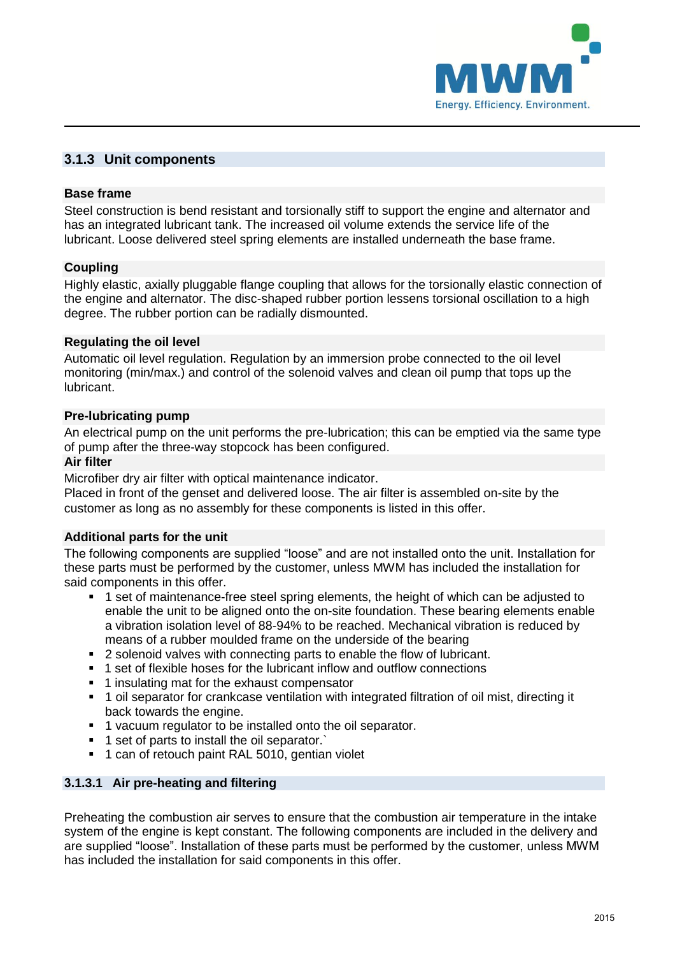

## <span id="page-6-0"></span>**3.1.3 Unit components**

#### **Base frame**

Steel construction is bend resistant and torsionally stiff to support the engine and alternator and has an integrated lubricant tank. The increased oil volume extends the service life of the lubricant. Loose delivered steel spring elements are installed underneath the base frame.

#### **Coupling**

Highly elastic, axially pluggable flange coupling that allows for the torsionally elastic connection of the engine and alternator. The disc-shaped rubber portion lessens torsional oscillation to a high degree. The rubber portion can be radially dismounted.

#### **Regulating the oil level**

Automatic oil level regulation. Regulation by an immersion probe connected to the oil level monitoring (min/max.) and control of the solenoid valves and clean oil pump that tops up the lubricant.

#### **Pre-lubricating pump**

An electrical pump on the unit performs the pre-lubrication; this can be emptied via the same type of pump after the three-way stopcock has been configured.

#### **Air filter**

Microfiber dry air filter with optical maintenance indicator.

Placed in front of the genset and delivered loose. The air filter is assembled on-site by the customer as long as no assembly for these components is listed in this offer.

## **Additional parts for the unit**

The following components are supplied "loose" and are not installed onto the unit. Installation for these parts must be performed by the customer, unless MWM has included the installation for said components in this offer.

- 1 set of maintenance-free steel spring elements, the height of which can be adjusted to enable the unit to be aligned onto the on-site foundation. These bearing elements enable a vibration isolation level of 88-94% to be reached. Mechanical vibration is reduced by means of a rubber moulded frame on the underside of the bearing
- 2 solenoid valves with connecting parts to enable the flow of lubricant.
- 1 set of flexible hoses for the lubricant inflow and outflow connections
- 1 insulating mat for the exhaust compensator
- 1 oil separator for crankcase ventilation with integrated filtration of oil mist, directing it back towards the engine.
- **1** vacuum regulator to be installed onto the oil separator.
- <sup>1</sup> set of parts to install the oil separator.
- **1** can of retouch paint RAL 5010, gentian violet

## **3.1.3.1 Air pre-heating and filtering**

Preheating the combustion air serves to ensure that the combustion air temperature in the intake system of the engine is kept constant. The following components are included in the delivery and are supplied "loose". Installation of these parts must be performed by the customer, unless MWM has included the installation for said components in this offer.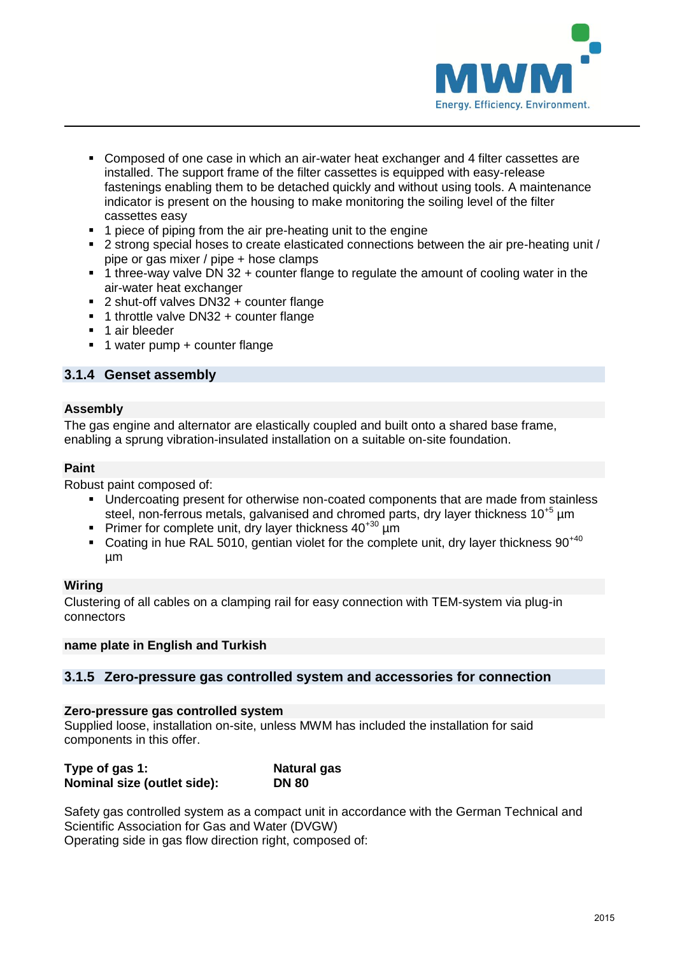

- Composed of one case in which an air-water heat exchanger and 4 filter cassettes are installed. The support frame of the filter cassettes is equipped with easy-release fastenings enabling them to be detached quickly and without using tools. A maintenance indicator is present on the housing to make monitoring the soiling level of the filter cassettes easy
- **1** piece of piping from the air pre-heating unit to the engine
- 2 strong special hoses to create elasticated connections between the air pre-heating unit / pipe or gas mixer / pipe + hose clamps
- 1 three-way valve DN 32 + counter flange to regulate the amount of cooling water in the air-water heat exchanger
- 2 shut-off valves DN32 + counter flange
- 1 throttle valve DN32 + counter flange
- 1 air bleeder
- 1 water pump + counter flange

## <span id="page-7-0"></span>**3.1.4 Genset assembly**

#### **Assembly**

The gas engine and alternator are elastically coupled and built onto a shared base frame, enabling a sprung vibration-insulated installation on a suitable on-site foundation.

#### **Paint**

Robust paint composed of:

- Undercoating present for otherwise non-coated components that are made from stainless steel, non-ferrous metals, galvanised and chromed parts, dry layer thickness  $10^{+5}$  µm
- Primer for complete unit, dry layer thickness  $40^{+30}$  µm
- Coating in hue RAL 5010, gentian violet for the complete unit, dry layer thickness  $90^{+40}$ µm

#### **Wiring**

Clustering of all cables on a clamping rail for easy connection with TEM-system via plug-in connectors

#### **name plate in English and Turkish**

#### <span id="page-7-1"></span>**3.1.5 Zero-pressure gas controlled system and accessories for connection**

#### **Zero-pressure gas controlled system**

Supplied loose, installation on-site, unless MWM has included the installation for said components in this offer.

| Type of gas 1:              | <b>Natural gas</b> |
|-----------------------------|--------------------|
| Nominal size (outlet side): | <b>DN 80</b>       |

Safety gas controlled system as a compact unit in accordance with the German Technical and Scientific Association for Gas and Water (DVGW) Operating side in gas flow direction right, composed of: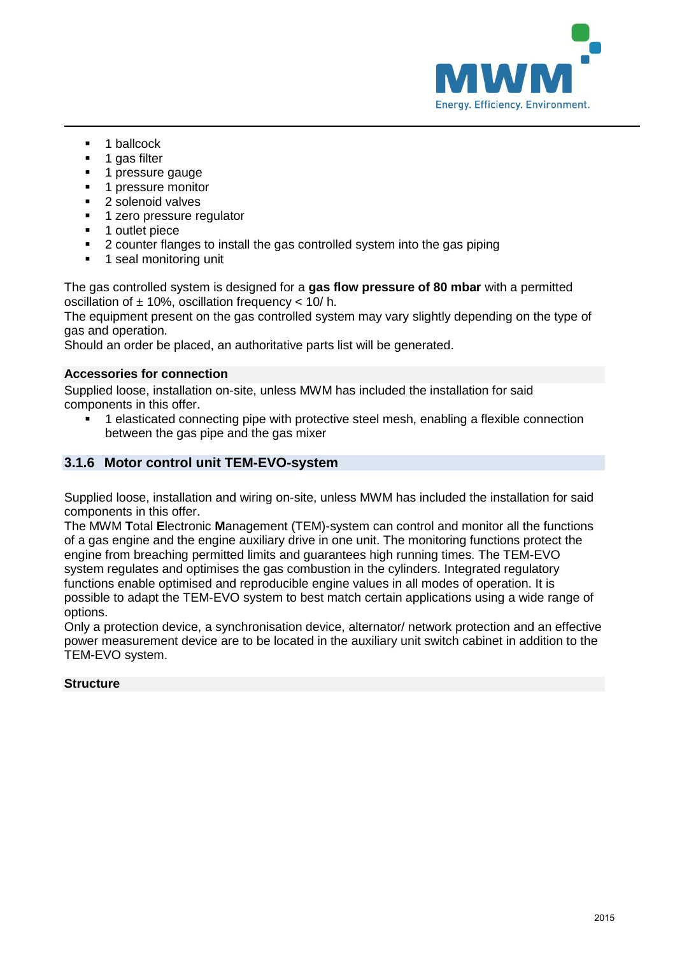

- 1 ballcock
- **1** gas filter
- 1 pressure gauge
- **1** pressure monitor
- 2 solenoid valves
- **1** zero pressure regulator
- **1** outlet piece
- 2 counter flanges to install the gas controlled system into the gas piping
- **1** seal monitoring unit

The gas controlled system is designed for a **gas flow pressure of 80 mbar** with a permitted oscillation of  $\pm$  10%, oscillation frequency < 10/h.

The equipment present on the gas controlled system may vary slightly depending on the type of gas and operation.

Should an order be placed, an authoritative parts list will be generated.

## **Accessories for connection**

Supplied loose, installation on-site, unless MWM has included the installation for said components in this offer.

 1 elasticated connecting pipe with protective steel mesh, enabling a flexible connection between the gas pipe and the gas mixer

## <span id="page-8-0"></span>**3.1.6 Motor control unit TEM-EVO-system**

Supplied loose, installation and wiring on-site, unless MWM has included the installation for said components in this offer.

The MWM **T**otal **E**lectronic **M**anagement (TEM)-system can control and monitor all the functions of a gas engine and the engine auxiliary drive in one unit. The monitoring functions protect the engine from breaching permitted limits and guarantees high running times. The TEM-EVO system regulates and optimises the gas combustion in the cylinders. Integrated regulatory functions enable optimised and reproducible engine values in all modes of operation. It is possible to adapt the TEM-EVO system to best match certain applications using a wide range of options.

Only a protection device, a synchronisation device, alternator/ network protection and an effective power measurement device are to be located in the auxiliary unit switch cabinet in addition to the TEM-EVO system.

## **Structure**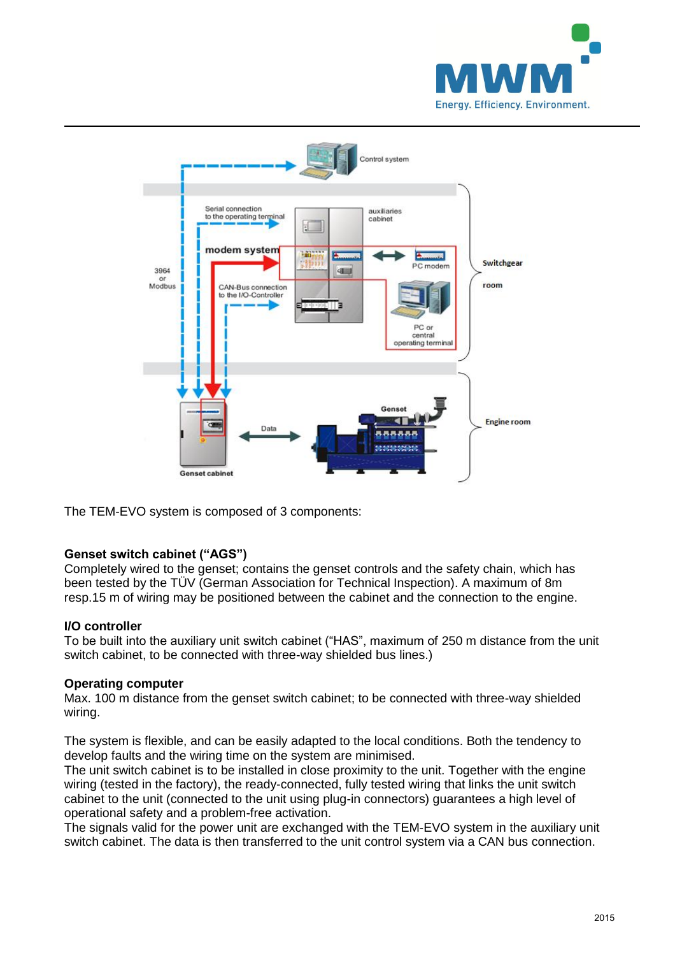



The TEM-EVO system is composed of 3 components:

## **Genset switch cabinet ("AGS")**

Completely wired to the genset; contains the genset controls and the safety chain, which has been tested by the TÜV (German Association for Technical Inspection). A maximum of 8m resp.15 m of wiring may be positioned between the cabinet and the connection to the engine.

#### **I/O controller**

To be built into the auxiliary unit switch cabinet ("HAS", maximum of 250 m distance from the unit switch cabinet, to be connected with three-way shielded bus lines.)

#### **Operating computer**

Max. 100 m distance from the genset switch cabinet; to be connected with three-way shielded wiring.

The system is flexible, and can be easily adapted to the local conditions. Both the tendency to develop faults and the wiring time on the system are minimised.

The unit switch cabinet is to be installed in close proximity to the unit. Together with the engine wiring (tested in the factory), the ready-connected, fully tested wiring that links the unit switch cabinet to the unit (connected to the unit using plug-in connectors) guarantees a high level of operational safety and a problem-free activation.

The signals valid for the power unit are exchanged with the TEM-EVO system in the auxiliary unit switch cabinet. The data is then transferred to the unit control system via a CAN bus connection.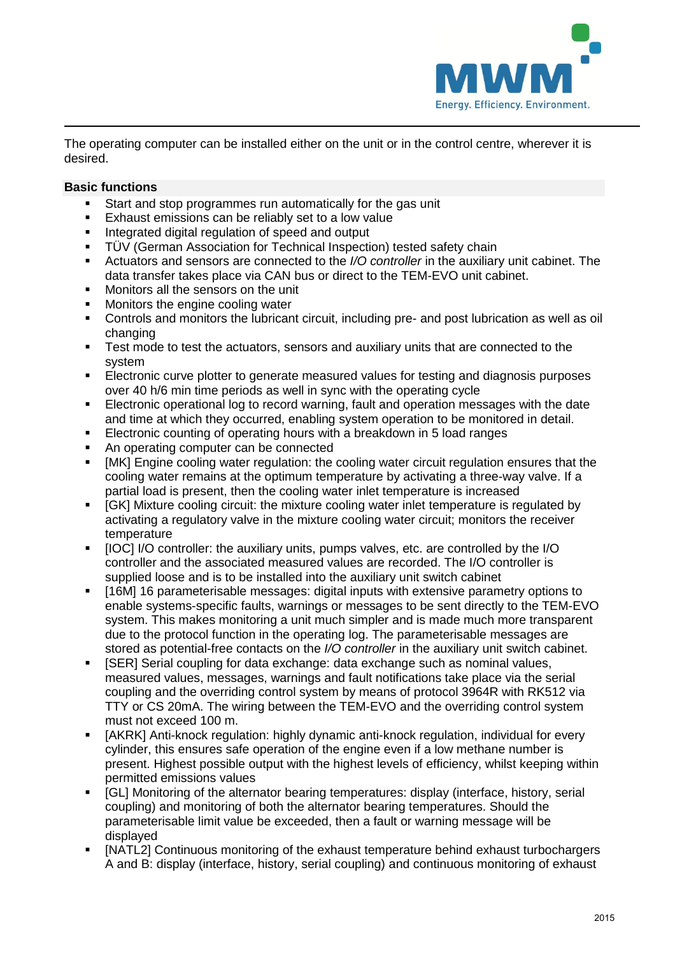

The operating computer can be installed either on the unit or in the control centre, wherever it is desired.

## **Basic functions**

- Start and stop programmes run automatically for the gas unit<br>Exhaust emissions can be reliably set to a low value
- Exhaust emissions can be reliably set to a low value
- **Integrated digital regulation of speed and output**
- TÜV (German Association for Technical Inspection) tested safety chain
- Actuators and sensors are connected to the *I/O controller* in the auxiliary unit cabinet. The data transfer takes place via CAN bus or direct to the TEM-EVO unit cabinet.
- **Monitors all the sensors on the unit**
- Monitors the engine cooling water
- Controls and monitors the lubricant circuit, including pre- and post lubrication as well as oil changing
- Test mode to test the actuators, sensors and auxiliary units that are connected to the system
- Electronic curve plotter to generate measured values for testing and diagnosis purposes over 40 h/6 min time periods as well in sync with the operating cycle
- Electronic operational log to record warning, fault and operation messages with the date and time at which they occurred, enabling system operation to be monitored in detail.
- Electronic counting of operating hours with a breakdown in 5 load ranges
- An operating computer can be connected
- [MK] Engine cooling water regulation: the cooling water circuit regulation ensures that the cooling water remains at the optimum temperature by activating a three-way valve. If a partial load is present, then the cooling water inlet temperature is increased
- [GK] Mixture cooling circuit: the mixture cooling water inlet temperature is regulated by activating a regulatory valve in the mixture cooling water circuit; monitors the receiver temperature
- [IOC] I/O controller: the auxiliary units, pumps valves, etc. are controlled by the I/O controller and the associated measured values are recorded. The I/O controller is supplied loose and is to be installed into the auxiliary unit switch cabinet
- [16M] 16 parameterisable messages: digital inputs with extensive parametry options to enable systems-specific faults, warnings or messages to be sent directly to the TEM-EVO system. This makes monitoring a unit much simpler and is made much more transparent due to the protocol function in the operating log. The parameterisable messages are stored as potential-free contacts on the *I/O controller* in the auxiliary unit switch cabinet.
- [SER] Serial coupling for data exchange: data exchange such as nominal values, measured values, messages, warnings and fault notifications take place via the serial coupling and the overriding control system by means of protocol 3964R with RK512 via TTY or CS 20mA. The wiring between the TEM-EVO and the overriding control system must not exceed 100 m.
- [AKRK] Anti-knock regulation: highly dynamic anti-knock regulation, individual for every cylinder, this ensures safe operation of the engine even if a low methane number is present. Highest possible output with the highest levels of efficiency, whilst keeping within permitted emissions values
- [GL] Monitoring of the alternator bearing temperatures: display (interface, history, serial coupling) and monitoring of both the alternator bearing temperatures. Should the parameterisable limit value be exceeded, then a fault or warning message will be displayed
- [NATL2] Continuous monitoring of the exhaust temperature behind exhaust turbochargers A and B: display (interface, history, serial coupling) and continuous monitoring of exhaust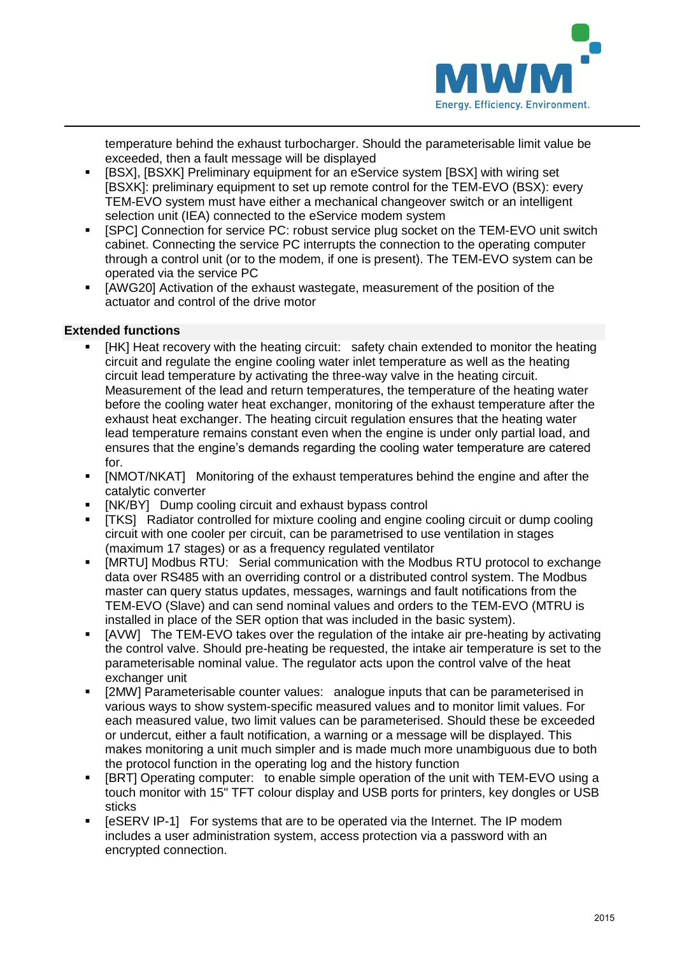

temperature behind the exhaust turbocharger. Should the parameterisable limit value be exceeded, then a fault message will be displayed

- [BSX], [BSXK] Preliminary equipment for an eService system [BSX] with wiring set [BSXK]: preliminary equipment to set up remote control for the TEM-EVO (BSX): every TEM-EVO system must have either a mechanical changeover switch or an intelligent selection unit (IEA) connected to the eService modem system
- **F** [SPC] Connection for service PC: robust service plug socket on the TEM-EVO unit switch cabinet. Connecting the service PC interrupts the connection to the operating computer through a control unit (or to the modem, if one is present). The TEM-EVO system can be operated via the service PC
- [AWG20] Activation of the exhaust wastegate, measurement of the position of the actuator and control of the drive motor

## **Extended functions**

- [HK] Heat recovery with the heating circuit: safety chain extended to monitor the heating circuit and regulate the engine cooling water inlet temperature as well as the heating circuit lead temperature by activating the three-way valve in the heating circuit. Measurement of the lead and return temperatures, the temperature of the heating water before the cooling water heat exchanger, monitoring of the exhaust temperature after the exhaust heat exchanger. The heating circuit regulation ensures that the heating water lead temperature remains constant even when the engine is under only partial load, and ensures that the engine's demands regarding the cooling water temperature are catered for.
- [NMOT/NKAT] Monitoring of the exhaust temperatures behind the engine and after the catalytic converter
- **•** [NK/BY] Dump cooling circuit and exhaust bypass control
- [TKS] Radiator controlled for mixture cooling and engine cooling circuit or dump cooling circuit with one cooler per circuit, can be parametrised to use ventilation in stages (maximum 17 stages) or as a frequency regulated ventilator
- [MRTU] Modbus RTU: Serial communication with the Modbus RTU protocol to exchange data over RS485 with an overriding control or a distributed control system. The Modbus master can query status updates, messages, warnings and fault notifications from the TEM-EVO (Slave) and can send nominal values and orders to the TEM-EVO (MTRU is installed in place of the SER option that was included in the basic system).
- [AVW] The TEM-EVO takes over the regulation of the intake air pre-heating by activating the control valve. Should pre-heating be requested, the intake air temperature is set to the parameterisable nominal value. The regulator acts upon the control valve of the heat exchanger unit
- [2MW] Parameterisable counter values: analogue inputs that can be parameterised in various ways to show system-specific measured values and to monitor limit values. For each measured value, two limit values can be parameterised. Should these be exceeded or undercut, either a fault notification, a warning or a message will be displayed. This makes monitoring a unit much simpler and is made much more unambiguous due to both the protocol function in the operating log and the history function
- [BRT] Operating computer: to enable simple operation of the unit with TEM-EVO using a touch monitor with 15" TFT colour display and USB ports for printers, key dongles or USB sticks
- [eSERV IP-1] For systems that are to be operated via the Internet. The IP modem includes a user administration system, access protection via a password with an encrypted connection.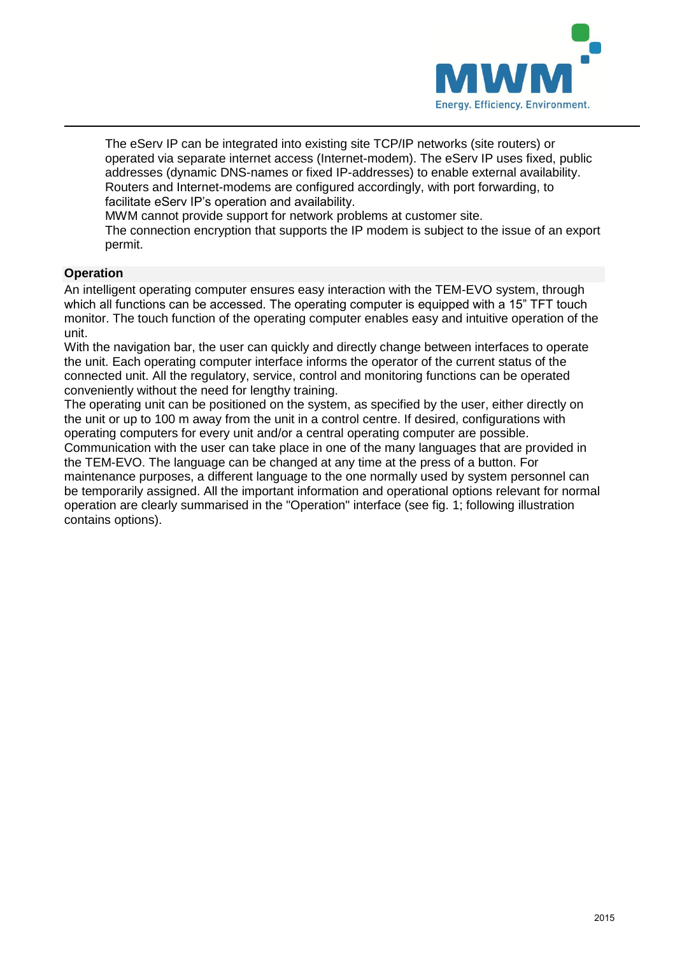

The eServ IP can be integrated into existing site TCP/IP networks (site routers) or operated via separate internet access (Internet-modem). The eServ IP uses fixed, public addresses (dynamic DNS-names or fixed IP-addresses) to enable external availability. Routers and Internet-modems are configured accordingly, with port forwarding, to facilitate eServ IP's operation and availability.

MWM cannot provide support for network problems at customer site.

The connection encryption that supports the IP modem is subject to the issue of an export permit.

## **Operation**

An intelligent operating computer ensures easy interaction with the TEM-EVO system, through which all functions can be accessed. The operating computer is equipped with a 15" TFT touch monitor. The touch function of the operating computer enables easy and intuitive operation of the unit.

With the navigation bar, the user can quickly and directly change between interfaces to operate the unit. Each operating computer interface informs the operator of the current status of the connected unit. All the regulatory, service, control and monitoring functions can be operated conveniently without the need for lengthy training.

The operating unit can be positioned on the system, as specified by the user, either directly on the unit or up to 100 m away from the unit in a control centre. If desired, configurations with operating computers for every unit and/or a central operating computer are possible. Communication with the user can take place in one of the many languages that are provided in the TEM-EVO. The language can be changed at any time at the press of a button. For maintenance purposes, a different language to the one normally used by system personnel can be temporarily assigned. All the important information and operational options relevant for normal operation are clearly summarised in the "Operation" interface (see fig. 1; following illustration contains options).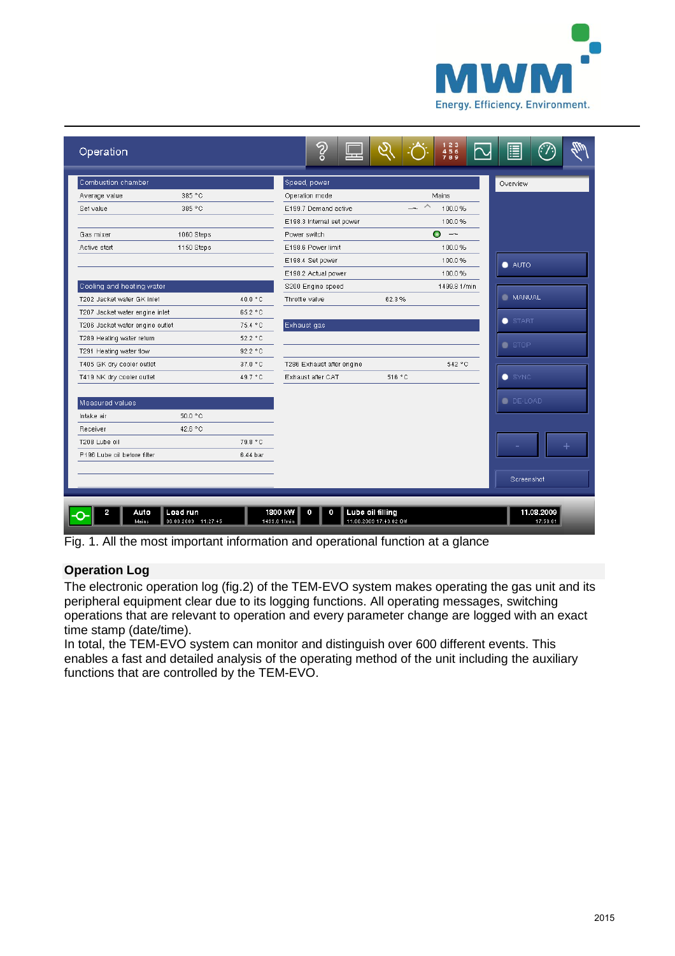

| Combustion chamber              |            |          | Speed, power                              |        |                               |                |
|---------------------------------|------------|----------|-------------------------------------------|--------|-------------------------------|----------------|
| Average value                   | 385 °C     |          | Operation mode                            |        | Mains                         | Overview       |
| Set value                       | 385 °C     |          | E199.7 Demand active                      |        | 100.0%                        |                |
|                                 |            |          |                                           |        | 100.0%                        |                |
| Gas mixer                       | 1060 Steps |          | E198.3 Internal set power<br>Power switch |        | 0<br>$\overline{\phantom{m}}$ |                |
| Active start                    | 1150 Steps |          | E198.6 Power limit                        |        | 100.0%                        |                |
|                                 |            |          | E198.4 Set power                          |        | 100.0%                        |                |
|                                 |            |          | E198.2 Actual power                       |        | 100.0%                        | $\bullet$ AUTO |
| Cooling and heating water       |            |          | S200 Engine speed                         |        | 1499.8 1/min                  |                |
| T202 Jacket water GK inlet      |            | 40.0 °C  | Throttle valve                            | 62.3%  |                               | <b>MANUAL</b>  |
| T207 Jacket water engine inlet  |            | 65.2 °C  |                                           |        |                               |                |
| T206 Jacket water engine outlet |            | 75.4 °C  | Exhaust gas                               |        |                               | START          |
| T289 Heating water return       |            | 52.2 °C  |                                           |        |                               |                |
| T291 Heating water flow         |            | 92.2 °C  |                                           |        |                               | $S$ STOP       |
| T405 GK dry cooler outlet       |            | 37.0 °C  | T286 Exhaust after engine                 |        | 542 °C                        |                |
| T419 NK dry cooler outlet       |            | 49.7 °C  | Exhaust after CAT                         | 516 °C |                               | SYNC           |
|                                 |            |          |                                           |        |                               |                |
| Measured values                 |            |          |                                           |        |                               | <b>DE-LOAD</b> |
| Intake air                      | 50.0 °C    |          |                                           |        |                               |                |
| Receiver                        | 42.6 °C    |          |                                           |        |                               |                |
| T208 Lube oil                   |            | 79.8 °C  |                                           |        |                               |                |
| P196 Lube oil before filter     |            | 6.44 bar |                                           |        |                               |                |
|                                 |            |          |                                           |        |                               |                |
|                                 |            |          |                                           |        |                               | Screenshot     |
|                                 |            |          |                                           |        |                               |                |

Fig. 1. All the most important information and operational function at a glance

## **Operation Log**

The electronic operation log (fig.2) of the TEM-EVO system makes operating the gas unit and its peripheral equipment clear due to its logging functions. All operating messages, switching operations that are relevant to operation and every parameter change are logged with an exact time stamp (date/time).

In total, the TEM-EVO system can monitor and distinguish over 600 different events. This enables a fast and detailed analysis of the operating method of the unit including the auxiliary functions that are controlled by the TEM-EVO.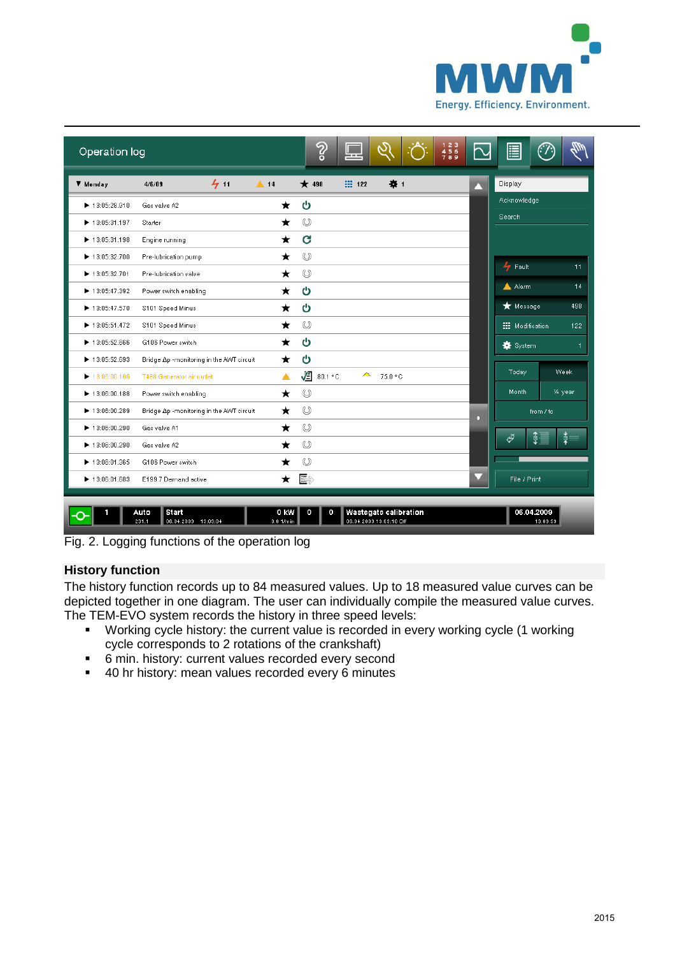

| Operation log                      |                                                      |                     | က္ရွ                | 느                       |                       | $123$<br>$456$<br>$789$ | 冒                       | (T.           |
|------------------------------------|------------------------------------------------------|---------------------|---------------------|-------------------------|-----------------------|-------------------------|-------------------------|---------------|
| ▼ Monday                           | 411<br>4/6/09                                        | $\triangle$ 14      | $\star$ 498         | $\frac{111}{211}$ 122   | $\mathbf{u}$          | Δ                       | Display                 |               |
| $\blacktriangleright$ 13:05:28.910 | Gas valve A2                                         | *                   | ပ                   |                         |                       |                         | Acknowledge             |               |
| $\blacktriangleright$ 13:05:31.197 | Starter                                              | *                   | $\circledcirc$      |                         |                       |                         | Search                  |               |
| $\blacktriangleright$ 13:05:31.198 | Engine running                                       | *                   | G                   |                         |                       |                         |                         |               |
| $\blacktriangleright$ 13:05:32.700 | Pre-lubrication pump                                 | ★                   | $\circledcirc$      |                         |                       |                         |                         |               |
| $\blacktriangleright$ 13:05:32.701 | Pre-lubrication valve                                | ★                   | $\circledcirc$      |                         |                       |                         | $4$ Fault               | 11            |
| $\blacktriangleright$ 13:05:47.392 | Power switch enabling                                | ★                   | ტ                   |                         |                       |                         | A Alarm                 | 14            |
| $\blacktriangleright$ 13:05:47.570 | S101 Speed Minus                                     | ★                   | ტ                   |                         |                       |                         | <b>*</b> Message        | 498           |
| $\blacktriangleright$ 13:05:51.472 | S101 Speed Minus                                     | ★                   | $\circledcirc$      |                         |                       |                         | <b>III</b> Modification | 122           |
| ▶ 13:05:52.666                     | G106 Power switch                                    | *                   | ပ                   |                         |                       |                         | <b>養</b> System         | 1             |
| $\blacktriangleright$ 13:05:52.693 | Bridge Ap -monitoring in the AWT circuit             | $^\star$            | ტ                   |                         |                       |                         |                         |               |
| $\blacktriangleright$ 13:06:00.166 | T488 Generator air outlet                            | ▲                   | ≰<br>80.1 °C        | ́                       | 75.0 °C               |                         | Today                   | Week          |
| $\blacktriangleright$ 13:06:00.188 | Power switch enabling                                | $\star$             | $\circledcirc$      |                         |                       |                         | Month.                  | 1/4 year      |
| $\blacktriangleright$ 13:06:00.289 | Bridge Ap -monitoring in the AWT circuit             | ★                   | $\circledcirc$      |                         |                       | o                       |                         | from / to     |
| $\blacktriangleright$ 13:06:00.290 | Gas valve A1                                         | ★                   | $\circlearrowright$ |                         |                       |                         |                         |               |
| $\blacktriangleright$ 13:06:00.290 | Gas valve A2                                         | *                   | $\circledcirc$      |                         |                       |                         | $\frac{1}{2}$<br>∜      | $\frac{1}{2}$ |
| $\blacktriangleright$ 13:06:01.365 | G106 Power switch                                    | *                   | $\circledcirc$      |                         |                       |                         |                         |               |
| $\blacktriangleright$ 13:06:01.683 | E199.7 Demand active                                 | $\star$             | $\equiv$            |                         |                       | v                       | File / Print            |               |
|                                    |                                                      |                     |                     |                         |                       |                         |                         |               |
|                                    | <b>Start</b><br>Auto<br>06.04.2009 13:09:04<br>231.1 | 0 KW<br>$0.01/m$ in | о                   | 06.04.2009 13:09:10 Off | Wastegate calibration |                         | 06.04.2009              | 13:09:59      |

Fig. 2. Logging functions of the operation log

## **History function**

The history function records up to 84 measured values. Up to 18 measured value curves can be depicted together in one diagram. The user can individually compile the measured value curves. The TEM-EVO system records the history in three speed levels:

- Working cycle history: the current value is recorded in every working cycle (1 working cycle corresponds to 2 rotations of the crankshaft)
- 6 min. history: current values recorded every second
- 40 hr history: mean values recorded every 6 minutes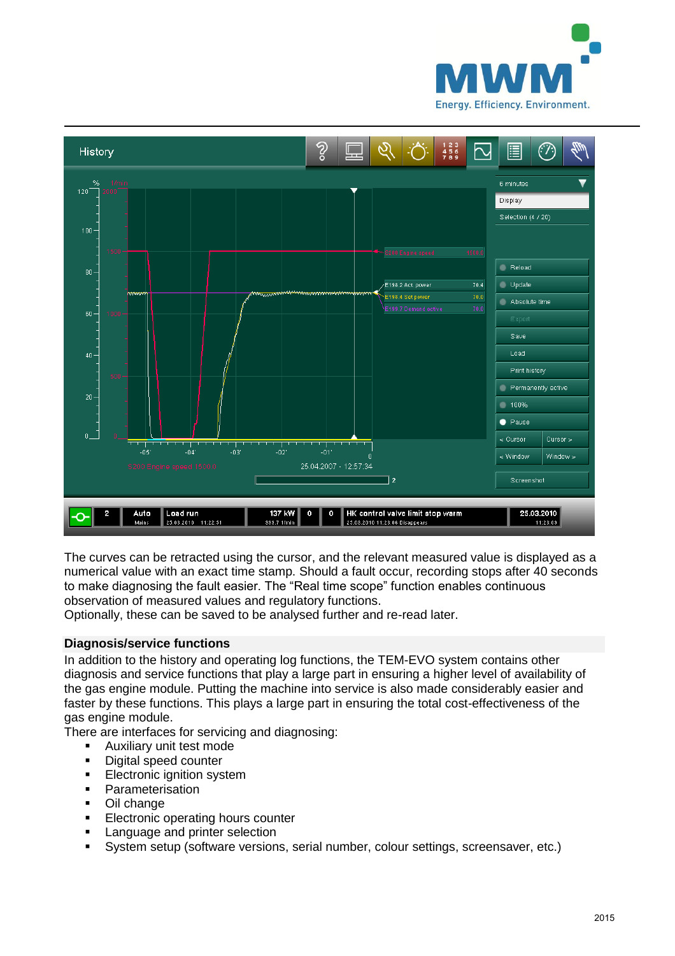



The curves can be retracted using the cursor, and the relevant measured value is displayed as a numerical value with an exact time stamp. Should a fault occur, recording stops after 40 seconds to make diagnosing the fault easier. The "Real time scope" function enables continuous observation of measured values and regulatory functions.

Optionally, these can be saved to be analysed further and re-read later.

## **Diagnosis/service functions**

In addition to the history and operating log functions, the TEM-EVO system contains other diagnosis and service functions that play a large part in ensuring a higher level of availability of the gas engine module. Putting the machine into service is also made considerably easier and faster by these functions. This plays a large part in ensuring the total cost-effectiveness of the gas engine module.

There are interfaces for servicing and diagnosing:

- **Auxiliary unit test mode**
- **Digital speed counter**
- **Electronic ignition system**
- **Parameterisation**
- Oil change
- **Electronic operating hours counter**
- **EXE** Language and printer selection
- System setup (software versions, serial number, colour settings, screensaver, etc.)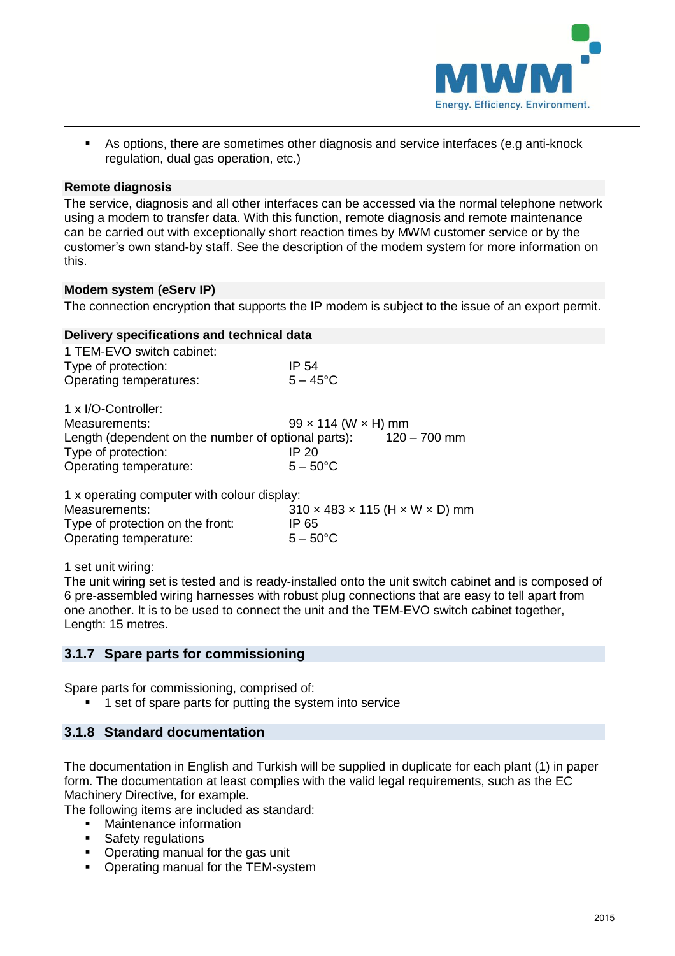

 As options, there are sometimes other diagnosis and service interfaces (e.g anti-knock regulation, dual gas operation, etc.)

#### **Remote diagnosis**

The service, diagnosis and all other interfaces can be accessed via the normal telephone network using a modem to transfer data. With this function, remote diagnosis and remote maintenance can be carried out with exceptionally short reaction times by MWM customer service or by the customer's own stand-by staff. See the description of the modem system for more information on this.

#### **Modem system (eServ IP)**

The connection encryption that supports the IP modem is subject to the issue of an export permit.

#### **Delivery specifications and technical data**

| $99 \times 114$ (W $\times$ H) mm |
|-----------------------------------|
| $120 - 700$ mm                    |
|                                   |
|                                   |
|                                   |

1 x operating computer with colour display:

| Measurements:                    | $310 \times 483 \times 115$ (H $\times$ W $\times$ D) mm |
|----------------------------------|----------------------------------------------------------|
| Type of protection on the front: | IP 65                                                    |
| Operating temperature:           | $5 - 50^{\circ}$ C                                       |

1 set unit wiring:

The unit wiring set is tested and is ready-installed onto the unit switch cabinet and is composed of 6 pre-assembled wiring harnesses with robust plug connections that are easy to tell apart from one another. It is to be used to connect the unit and the TEM-EVO switch cabinet together, Length: 15 metres.

## **3.1.7 Spare parts for commissioning**

Spare parts for commissioning, comprised of:

<sup>1</sup> 1 set of spare parts for putting the system into service

## **3.1.8 Standard documentation**

The documentation in English and Turkish will be supplied in duplicate for each plant (1) in paper form. The documentation at least complies with the valid legal requirements, such as the EC Machinery Directive, for example.

The following items are included as standard:

- Maintenance information
- Safety regulations
- Operating manual for the gas unit
- Operating manual for the TEM-system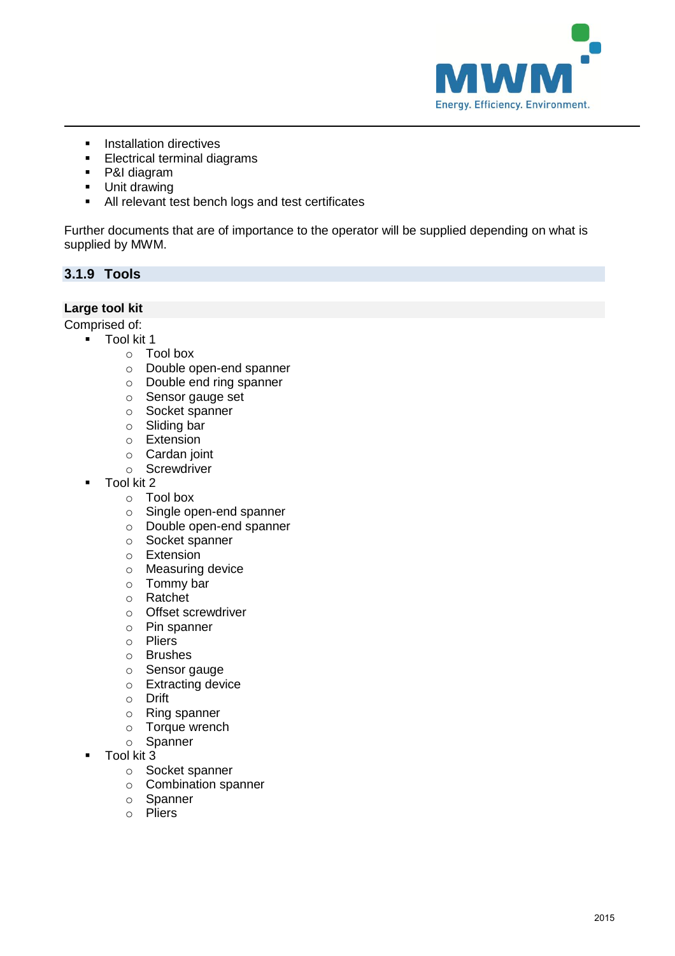

- **Installation directives**<br>**Electrical terminal dia**
- Electrical terminal diagrams
- P&I diagram
- **Unit drawing**
- All relevant test bench logs and test certificates

Further documents that are of importance to the operator will be supplied depending on what is supplied by MWM.

## **3.1.9 Tools**

## **Large tool kit**

Comprised of:

- **Tool kit 1** 
	- o Tool box
	- o Double open-end spanner
	- o Double end ring spanner
	- o Sensor gauge set
	- o Socket spanner
	- o Sliding bar
	- o Extension
	- o Cardan joint
	- o Screwdriver
- Tool kit 2
	- o Tool box
	- o Single open-end spanner
	- o Double open-end spanner
	- o Socket spanner
	- o Extension
	- o Measuring device
	- o Tommy bar
	- o Ratchet
	- o Offset screwdriver
	- o Pin spanner
	- o Pliers
	- o Brushes
	- o Sensor gauge
	- o Extracting device
	- o Drift
	- o Ring spanner
	- o Torque wrench
	- o Spanner
- Tool kit 3
	- o Socket spanner
	- o Combination spanner
	- o Spanner
	- o Pliers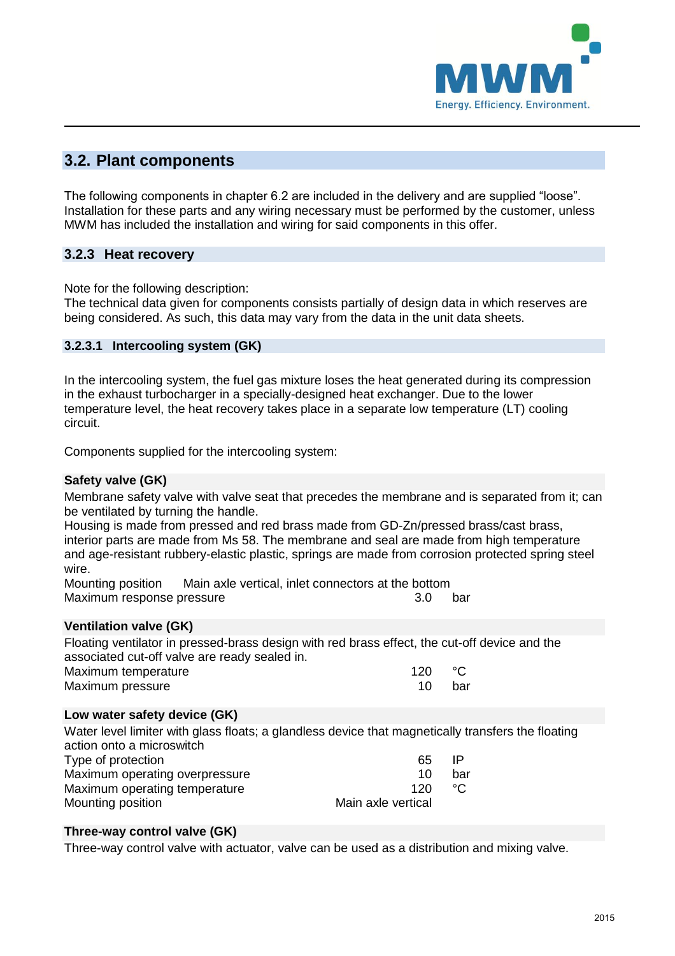

## **3.2. Plant components**

The following components in chapter 6.2 are included in the delivery and are supplied "loose". Installation for these parts and any wiring necessary must be performed by the customer, unless MWM has included the installation and wiring for said components in this offer.

## **3.2.3 Heat recovery**

Note for the following description:

The technical data given for components consists partially of design data in which reserves are being considered. As such, this data may vary from the data in the unit data sheets.

## **3.2.3.1 Intercooling system (GK)**

In the intercooling system, the fuel gas mixture loses the heat generated during its compression in the exhaust turbocharger in a specially-designed heat exchanger. Due to the lower temperature level, the heat recovery takes place in a separate low temperature (LT) cooling circuit.

Components supplied for the intercooling system:

#### **Safety valve (GK)**

Membrane safety valve with valve seat that precedes the membrane and is separated from it; can be ventilated by turning the handle.

Housing is made from pressed and red brass made from GD-Zn/pressed brass/cast brass, interior parts are made from Ms 58. The membrane and seal are made from high temperature and age-resistant rubbery-elastic plastic, springs are made from corrosion protected spring steel wire.

Mounting position Main axle vertical, inlet connectors at the bottom Maximum response pressure 3.0 bar

## **Ventilation valve (GK)**

Floating ventilator in pressed-brass design with red brass effect, the cut-off device and the associated cut-off valve are ready sealed in.

| Maximum temperature | 120 |     |
|---------------------|-----|-----|
| Maximum pressure    |     | bar |

## **Low water safety device (GK)**

Water level limiter with glass floats; a glandless device that magnetically transfers the floating action onto a microswitch Type of protection and the state of the state of the state of the state of the state of the state of the state of the state of the state of the state of the state of the state of the state of the state of the state of the Maximum operating overpressure 10 bar Maximum operating temperature 120 °C Mounting position Main axle vertical

## **Three-way control valve (GK)**

Three-way control valve with actuator, valve can be used as a distribution and mixing valve.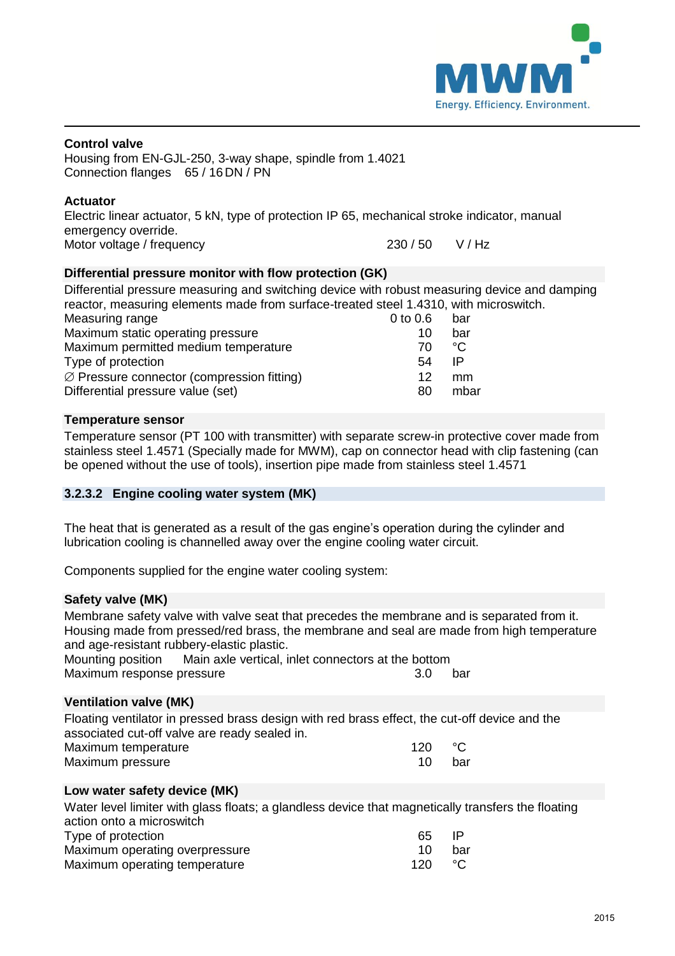

#### **Control valve**

Housing from EN-GJL-250, 3-way shape, spindle from 1.4021 Connection flanges 65 / 16 DN / PN

#### **Actuator**

Electric linear actuator, 5 kN, type of protection IP 65, mechanical stroke indicator, manual emergency override. Motor voltage / frequency  $230/50$  V / Hz

## **Differential pressure monitor with flow protection (GK)**

Differential pressure measuring and switching device with robust measuring device and damping reactor, measuring elements made from surface-treated steel 1.4310, with microswitch.<br>Measuring range<br> $\frac{0.1006}{\pi}$ Measuring range

| IVICASUIIIIU IAIIUC                                    | <b>0.0 U.O</b> | Ddi  |
|--------------------------------------------------------|----------------|------|
| Maximum static operating pressure                      | 10             | bar  |
| Maximum permitted medium temperature                   | 70.            | °೧   |
| Type of protection                                     | 54             | IP   |
| $\varnothing$ Pressure connector (compression fitting) | 12             | mm   |
| Differential pressure value (set)                      | 80             | mbar |
|                                                        |                |      |

#### **Temperature sensor**

Temperature sensor (PT 100 with transmitter) with separate screw-in protective cover made from stainless steel 1.4571 (Specially made for MWM), cap on connector head with clip fastening (can be opened without the use of tools), insertion pipe made from stainless steel 1.4571

## **3.2.3.2 Engine cooling water system (MK)**

The heat that is generated as a result of the gas engine's operation during the cylinder and lubrication cooling is channelled away over the engine cooling water circuit.

Components supplied for the engine water cooling system:

#### **Safety valve (MK)**

Membrane safety valve with valve seat that precedes the membrane and is separated from it. Housing made from pressed/red brass, the membrane and seal are made from high temperature and age-resistant rubbery-elastic plastic.

Mounting position Main axle vertical, inlet connectors at the bottom Maximum response pressure 3.0 bar

#### **Ventilation valve (MK)**

Floating ventilator in pressed brass design with red brass effect, the cut-off device and the associated cut-off valve are ready sealed in. Maximum temperature  $120 \text{ } °C$ 

| Maximum pressure | 10 bar |
|------------------|--------|
|                  |        |

## **Low water safety device (MK)**

| Water level limiter with glass floats; a glandless device that magnetically transfers the floating |     |     |
|----------------------------------------------------------------------------------------------------|-----|-----|
| action onto a microswitch                                                                          |     |     |
| Type of protection                                                                                 | 65. | ΙP  |
| Maximum operating overpressure                                                                     | 10  | bar |
| Maximum operating temperature                                                                      | 120 | ್∴  |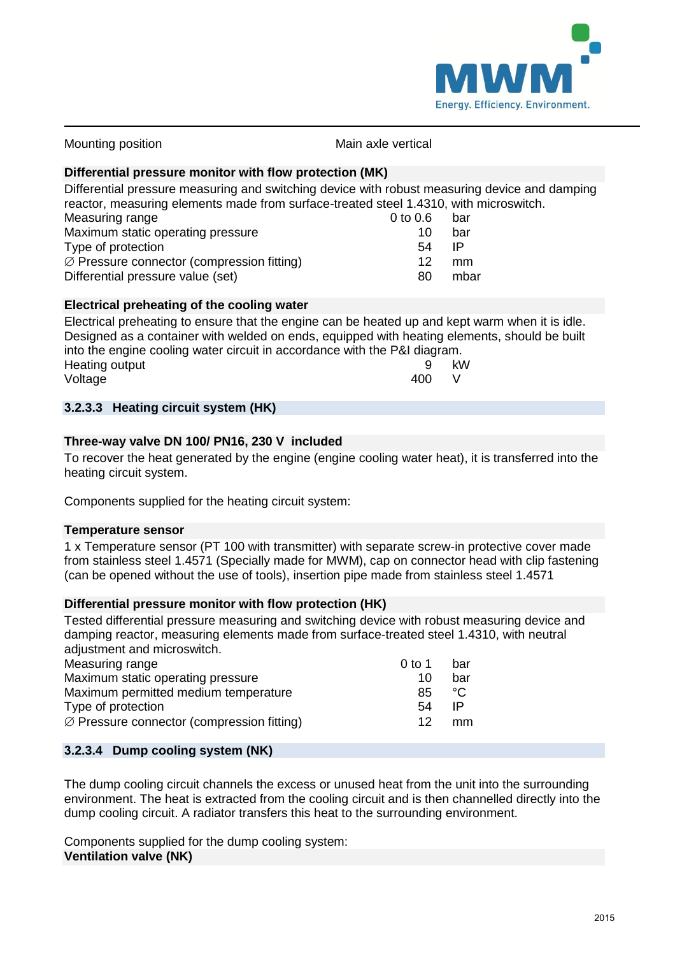

| <b>INIUUITIUITY PUSITIUIT</b>                                                                 | וואומווו מגוט עטונוטמו |     |  |
|-----------------------------------------------------------------------------------------------|------------------------|-----|--|
| Differential pressure monitor with flow protection (MK)                                       |                        |     |  |
| Differential pressure measuring and switching device with robust measuring device and damping |                        |     |  |
| reactor, measuring elements made from surface-treated steel 1.4310, with microswitch.         |                        |     |  |
| Measuring range                                                                               | $0$ to $0.6$           | bar |  |
| Maximum static operating pressure                                                             | 10                     | bar |  |
| Type of protection                                                                            | 54                     | IP  |  |
| $\varnothing$ Pressure connector (compression fitting)                                        | 12                     | mm  |  |

Mounting position Main axle vertical

Differential pressure value (set) 80 mbar

## **Electrical preheating of the cooling water**

Electrical preheating to ensure that the engine can be heated up and kept warm when it is idle. Designed as a container with welded on ends, equipped with heating elements, should be built into the engine cooling water circuit in accordance with the P&I diagram. Heating output 9 kW<br>Voltage 9 kW<br>400 V Voltage 400 V

## **3.2.3.3 Heating circuit system (HK)**

#### **Three-way valve DN 100/ PN16, 230 V included**

To recover the heat generated by the engine (engine cooling water heat), it is transferred into the heating circuit system.

Components supplied for the heating circuit system:

#### **Temperature sensor**

1 x Temperature sensor (PT 100 with transmitter) with separate screw-in protective cover made from stainless steel 1.4571 (Specially made for MWM), cap on connector head with clip fastening (can be opened without the use of tools), insertion pipe made from stainless steel 1.4571

#### **Differential pressure monitor with flow protection (HK)**

Tested differential pressure measuring and switching device with robust measuring device and damping reactor, measuring elements made from surface-treated steel 1.4310, with neutral adjustment and microswitch.

| Measuring range                                        | 0 to 1 | bar |
|--------------------------------------------------------|--------|-----|
| Maximum static operating pressure                      | 10     | bar |
| Maximum permitted medium temperature                   | 85     | ಿ೧  |
| Type of protection                                     | 54     | IP  |
| $\varnothing$ Pressure connector (compression fitting) | 12     | mm  |

## **3.2.3.4 Dump cooling system (NK)**

The dump cooling circuit channels the excess or unused heat from the unit into the surrounding environment. The heat is extracted from the cooling circuit and is then channelled directly into the dump cooling circuit. A radiator transfers this heat to the surrounding environment.

Components supplied for the dump cooling system: **Ventilation valve (NK)**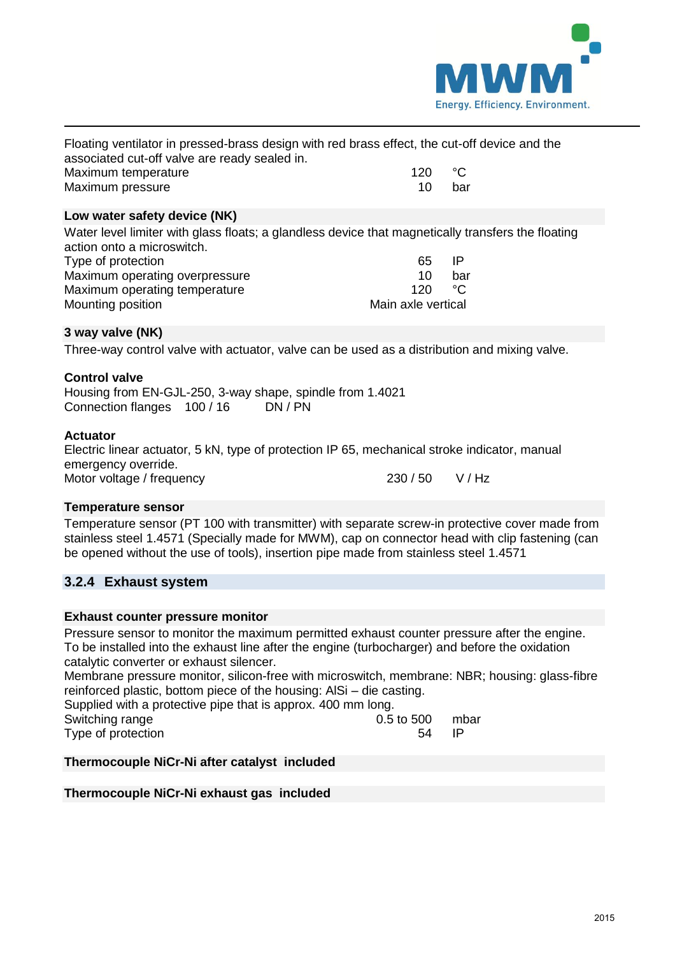

| Floating ventilator in pressed-brass design with red brass effect, the cut-off device and the |         |     |
|-----------------------------------------------------------------------------------------------|---------|-----|
| associated cut-off valve are ready sealed in.                                                 |         |     |
| Maximum temperature                                                                           | 120 °C. |     |
| Maximum pressure                                                                              | 10.     | har |

#### **Low water safety device (NK)**

Water level limiter with glass floats; a glandless device that magnetically transfers the floating action onto a microswitch.

| Type of protection             | 65                 | IP  |
|--------------------------------|--------------------|-----|
| Maximum operating overpressure | 10                 | bar |
| Maximum operating temperature  | 120                | ்∩் |
| Mounting position              | Main axle vertical |     |

#### **3 way valve (NK)**

Three-way control valve with actuator, valve can be used as a distribution and mixing valve.

#### **Control valve**

Housing from EN-GJL-250, 3-way shape, spindle from 1.4021<br>Connection flanges 100/16 DN/PN Connection flanges 100 / 16

#### **Actuator**

Electric linear actuator, 5 kN, type of protection IP 65, mechanical stroke indicator, manual emergency override. Motor voltage / frequency  $230 / 50$  V / Hz

#### **Temperature sensor**

Temperature sensor (PT 100 with transmitter) with separate screw-in protective cover made from stainless steel 1.4571 (Specially made for MWM), cap on connector head with clip fastening (can be opened without the use of tools), insertion pipe made from stainless steel 1.4571

## **3.2.4 Exhaust system**

#### **Exhaust counter pressure monitor**

Pressure sensor to monitor the maximum permitted exhaust counter pressure after the engine. To be installed into the exhaust line after the engine (turbocharger) and before the oxidation catalytic converter or exhaust silencer.

Membrane pressure monitor, silicon-free with microswitch, membrane: NBR; housing: glass-fibre reinforced plastic, bottom piece of the housing: AlSi – die casting.

Supplied with a protective pipe that is approx. 400 mm long.

| Switching range    |  | $0.5$ to 500 mbar |  |
|--------------------|--|-------------------|--|
| Type of protection |  | 54 IP             |  |

#### **Thermocouple NiCr-Ni after catalyst included**

#### **Thermocouple NiCr-Ni exhaust gas included**